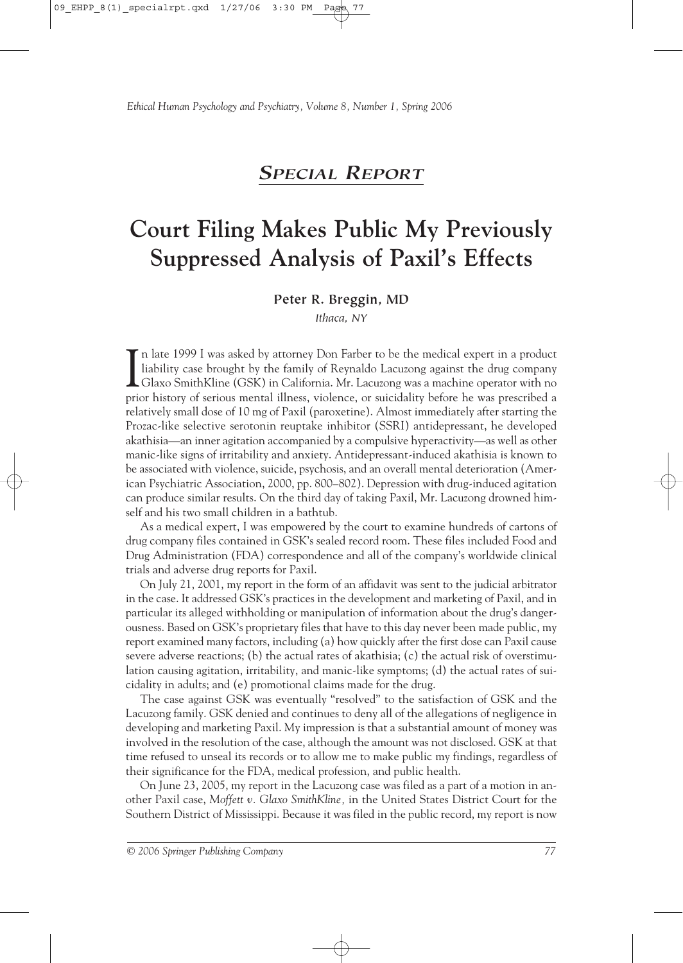# *SPECIAL REPORT*

# **Court Filing Makes Public My Previously Suppressed Analysis of Paxil's Effects**

# **Peter R. Breggin, MD**

*Ithaca, NY*

In late 1999 I was asked by attorney Don Farber to be the medical expert in a product liability case brought by the family of Reynaldo Lacuzong against the drug company Glaxo SmithKline (GSK) in California. Mr. Lacuzong wa liability case brought by the family of Reynaldo Lacuzong against the drug company Glaxo SmithKline (GSK) in California. Mr. Lacuzong was a machine operator with no prior history of serious mental illness, violence, or suicidality before he was prescribed a relatively small dose of 10 mg of Paxil (paroxetine). Almost immediately after starting the Prozac-like selective serotonin reuptake inhibitor (SSRI) antidepressant, he developed akathisia—an inner agitation accompanied by a compulsive hyperactivity—as well as other manic-like signs of irritability and anxiety. Antidepressant-induced akathisia is known to be associated with violence, suicide, psychosis, and an overall mental deterioration (American Psychiatric Association, 2000, pp. 800–802). Depression with drug-induced agitation can produce similar results. On the third day of taking Paxil, Mr. Lacuzong drowned himself and his two small children in a bathtub.

As a medical expert, I was empowered by the court to examine hundreds of cartons of drug company files contained in GSK's sealed record room. These files included Food and Drug Administration (FDA) correspondence and all of the company's worldwide clinical trials and adverse drug reports for Paxil.

On July 21, 2001, my report in the form of an affidavit was sent to the judicial arbitrator in the case. It addressed GSK's practices in the development and marketing of Paxil, and in particular its alleged withholding or manipulation of information about the drug's dangerousness. Based on GSK's proprietary files that have to this day never been made public, my report examined many factors, including (a) how quickly after the first dose can Paxil cause severe adverse reactions; (b) the actual rates of akathisia; (c) the actual risk of overstimulation causing agitation, irritability, and manic-like symptoms; (d) the actual rates of suicidality in adults; and (e) promotional claims made for the drug.

The case against GSK was eventually "resolved" to the satisfaction of GSK and the Lacuzong family. GSK denied and continues to deny all of the allegations of negligence in developing and marketing Paxil. My impression is that a substantial amount of money was involved in the resolution of the case, although the amount was not disclosed. GSK at that time refused to unseal its records or to allow me to make public my findings, regardless of their significance for the FDA, medical profession, and public health.

On June 23, 2005, my report in the Lacuzong case was filed as a part of a motion in another Paxil case, *Moffett v. Glaxo SmithKline,* in the United States District Court for the Southern District of Mississippi. Because it was filed in the public record, my report is now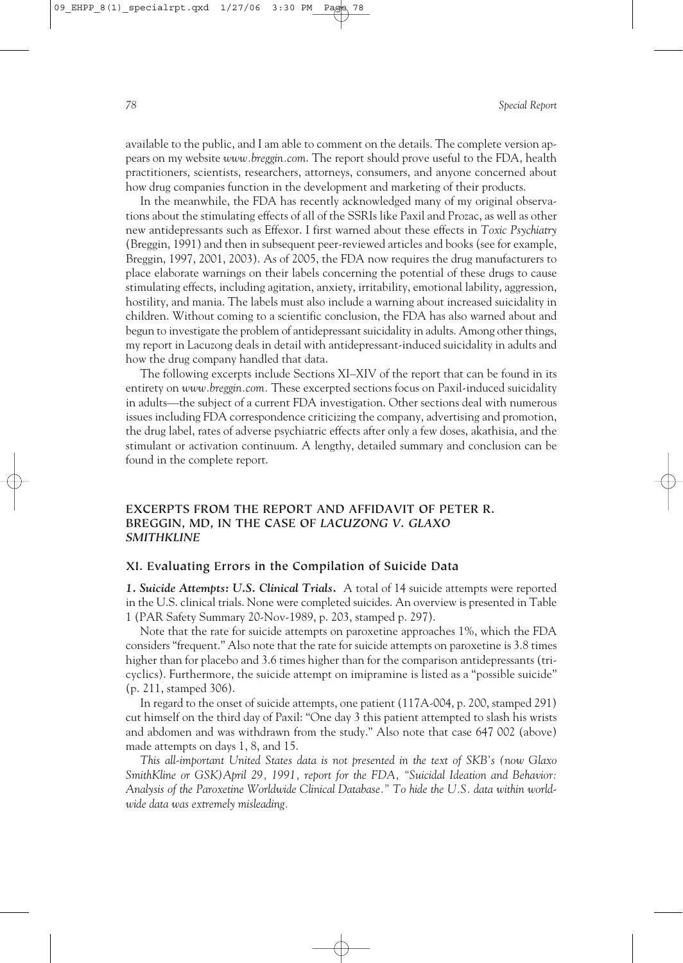available to the public, and I am able to comment on the details. The complete version appears on my website *www.breggin.com*. The report should prove useful to the FDA, health practitioners, scientists, researchers, attorneys, consumers, and anyone concerned about how drug companies function in the development and marketing of their products.

In the meanwhile, the FDA has recently acknowledged many of my original observations about the stimulating effects of all of the SSRIs like Paxil and Prozac, as well as other new antidepressants such as Effexor. I first warned about these effects in *Toxic Psychiatry* (Breggin, 1991) and then in subsequent peer-reviewed articles and books (see for example, Breggin, 1997, 2001, 2003). As of 2005, the FDA now requires the drug manufacturers to place elaborate warnings on their labels concerning the potential of these drugs to cause stimulating effects, including agitation, anxiety, irritability, emotional lability, aggression, hostility, and mania. The labels must also include a warning about increased suicidality in children. Without coming to a scientific conclusion, the FDA has also warned about and begun to investigate the problem of antidepressant suicidality in adults. Among other things, my report in Lacuzong deals in detail with antidepressant-induced suicidality in adults and how the drug company handled that data.

The following excerpts include Sections XI–XIV of the report that can be found in its entirety on *www.breggin.com.* These excerpted sections focus on Paxil-induced suicidality in adults—the subject of a current FDA investigation. Other sections deal with numerous issues including FDA correspondence criticizing the company, advertising and promotion, the drug label, rates of adverse psychiatric effects after only a few doses, akathisia, and the stimulant or activation continuum. A lengthy, detailed summary and conclusion can be found in the complete report.

## **EXCERPTS FROM THE REPORT AND AFFIDAVIT OF PETER R. BREGGIN, MD, IN THE CASE OF** *LACUZONG V. GLAXO SMITHKLINE*

#### **XI. Evaluating Errors in the Compilation of Suicide Data**

*1. Suicide Attempts: U.S. Clinical Trials.* A total of 14 suicide attempts were reported in the U.S. clinical trials. None were completed suicides. An overview is presented in Table 1 (PAR Safety Summary 20-Nov-1989, p. 203, stamped p. 297).

Note that the rate for suicide attempts on paroxetine approaches 1%, which the FDA considers "frequent." Also note that the rate for suicide attempts on paroxetine is 3.8 times higher than for placebo and 3.6 times higher than for the comparison antidepressants (tricyclics). Furthermore, the suicide attempt on imipramine is listed as a "possible suicide" (p. 211, stamped 306).

In regard to the onset of suicide attempts, one patient (117A-004, p. 200, stamped 291) cut himself on the third day of Paxil: "One day 3 this patient attempted to slash his wrists and abdomen and was withdrawn from the study." Also note that case 647 002 (above) made attempts on days 1, 8, and 15.

*This all-important United States data is not presented in the text of SKB's (now Glaxo SmithKline or GSK)April 29, 1991, report for the FDA, "Suicidal Ideation and Behavior: Analysis of the Paroxetine Worldwide Clinical Database." To hide the U.S. data within worldwide data was extremely misleading.*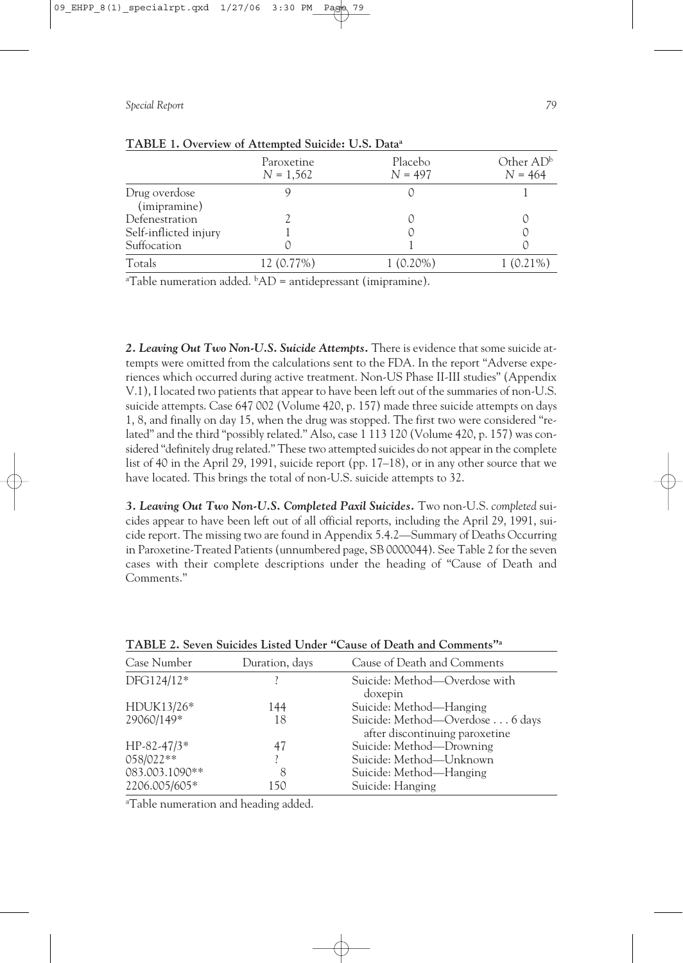|                       | Paroxetine<br>$N = 1,562$ | Placebo<br>$N = 497$ | Other $AD^b$<br>$N = 464$ |
|-----------------------|---------------------------|----------------------|---------------------------|
| Drug overdose         |                           |                      |                           |
| (imipramine)          |                           |                      |                           |
| Defenestration        |                           |                      |                           |
| Self-inflicted injury |                           |                      |                           |
| Suffocation           |                           |                      |                           |
| Totals                | 12 (0.77%)                | $1(0.20\%)$          | 1 (0.21%)                 |

# **TABLE 1. Overview of Attempted Suicide: U.S. Dataa**

<sup>a</sup>Table numeration added.  ${}^{\text{b}}AD$  = antidepressant (imipramine).

*2. Leaving Out Two Non-U.S. Suicide Attempts.* There is evidence that some suicide attempts were omitted from the calculations sent to the FDA. In the report "Adverse experiences which occurred during active treatment. Non-US Phase II-III studies" (Appendix V.1), I located two patients that appear to have been left out of the summaries of non-U.S. suicide attempts. Case 647 002 (Volume 420, p. 157) made three suicide attempts on days 1, 8, and finally on day 15, when the drug was stopped. The first two were considered "related" and the third "possibly related." Also, case 1 113 120 (Volume 420, p. 157) was considered "definitely drug related." These two attempted suicides do not appear in the complete list of 40 in the April 29, 1991, suicide report (pp. 17–18), or in any other source that we have located. This brings the total of non-U.S. suicide attempts to 32.

*3. Leaving Out Two Non-U.S. Completed Paxil Suicides.* Two non-U.S. *completed* suicides appear to have been left out of all official reports, including the April 29, 1991, suicide report. The missing two are found in Appendix 5.4.2—Summary of Deaths Occurring in Paroxetine-Treated Patients (unnumbered page, SB 0000044). See Table 2 for the seven cases with their complete descriptions under the heading of "Cause of Death and Comments."

| Case Number    | Duration, days | Cause of Death and Comments                                       |
|----------------|----------------|-------------------------------------------------------------------|
| DFG124/12*     |                | Suicide: Method—Overdose with<br>doxepin                          |
| HDUK13/26*     | 144            | Suicide: Method-Hanging                                           |
| 29060/149*     | 18             | Suicide: Method-Overdose 6 days<br>after discontinuing paroxetine |
| HP-82-47/3*    | 47             | Suicide: Method-Drowning                                          |
| 058/022**      |                | Suicide: Method-Unknown                                           |
| 083.003.1090** | 8              | Suicide: Method—Hanging                                           |
| 2206.005/605*  | 150            | Suicide: Hanging                                                  |

**TABLE 2. Seven Suicides Listed Under "Cause of Death and Comments"a**

a Table numeration and heading added.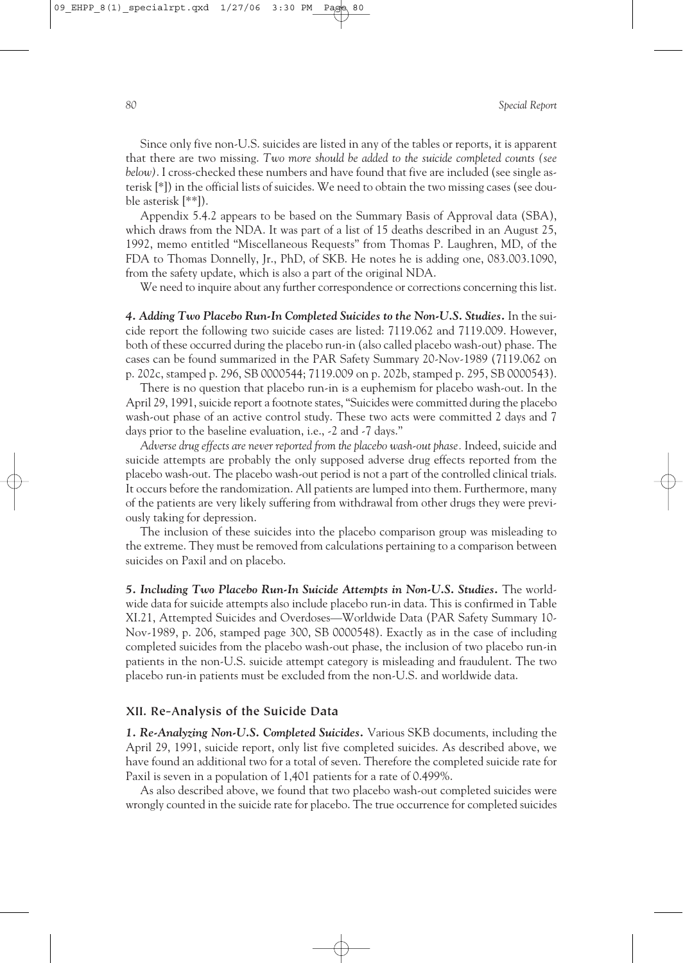Since only five non-U.S. suicides are listed in any of the tables or reports, it is apparent that there are two missing. *Two more should be added to the suicide completed counts (see below)*. I cross-checked these numbers and have found that five are included (see single asterisk [\*]) in the official lists of suicides. We need to obtain the two missing cases (see double asterisk [\*\*]).

Appendix 5.4.2 appears to be based on the Summary Basis of Approval data (SBA), which draws from the NDA. It was part of a list of 15 deaths described in an August 25, 1992, memo entitled "Miscellaneous Requests" from Thomas P. Laughren, MD, of the FDA to Thomas Donnelly, Jr., PhD, of SKB. He notes he is adding one, 083.003.1090, from the safety update, which is also a part of the original NDA.

We need to inquire about any further correspondence or corrections concerning this list.

4. Adding Two Placebo Run-In Completed Suicides to the Non-U.S. Studies. In the suicide report the following two suicide cases are listed: 7119.062 and 7119.009. However, both of these occurred during the placebo run-in (also called placebo wash-out) phase. The cases can be found summarized in the PAR Safety Summary 20-Nov-1989 (7119.062 on p. 202c, stamped p. 296, SB 0000544; 7119.009 on p. 202b, stamped p. 295, SB 0000543).

There is no question that placebo run-in is a euphemism for placebo wash-out. In the April 29, 1991, suicide report a footnote states, "Suicides were committed during the placebo wash-out phase of an active control study. These two acts were committed 2 days and 7 days prior to the baseline evaluation, i.e., -2 and -7 days."

*Adverse drug effects are never reported from the placebo wash-out phase.* Indeed, suicide and suicide attempts are probably the only supposed adverse drug effects reported from the placebo wash-out. The placebo wash-out period is not a part of the controlled clinical trials. It occurs before the randomization. All patients are lumped into them. Furthermore, many of the patients are very likely suffering from withdrawal from other drugs they were previously taking for depression.

The inclusion of these suicides into the placebo comparison group was misleading to the extreme. They must be removed from calculations pertaining to a comparison between suicides on Paxil and on placebo.

*5. Including Two Placebo Run-In Suicide Attempts in Non-U.S. Studies.* The worldwide data for suicide attempts also include placebo run-in data. This is confirmed in Table XI.21, Attempted Suicides and Overdoses—Worldwide Data (PAR Safety Summary 10- Nov-1989, p. 206, stamped page 300, SB 0000548). Exactly as in the case of including completed suicides from the placebo wash-out phase, the inclusion of two placebo run-in patients in the non-U.S. suicide attempt category is misleading and fraudulent. The two placebo run-in patients must be excluded from the non-U.S. and worldwide data.

#### **XII. Re-Analysis of the Suicide Data**

*1. Re-Analyzing Non-U.S. Completed Suicides.* Various SKB documents, including the April 29, 1991, suicide report, only list five completed suicides. As described above, we have found an additional two for a total of seven. Therefore the completed suicide rate for Paxil is seven in a population of 1,401 patients for a rate of 0.499%.

As also described above, we found that two placebo wash-out completed suicides were wrongly counted in the suicide rate for placebo. The true occurrence for completed suicides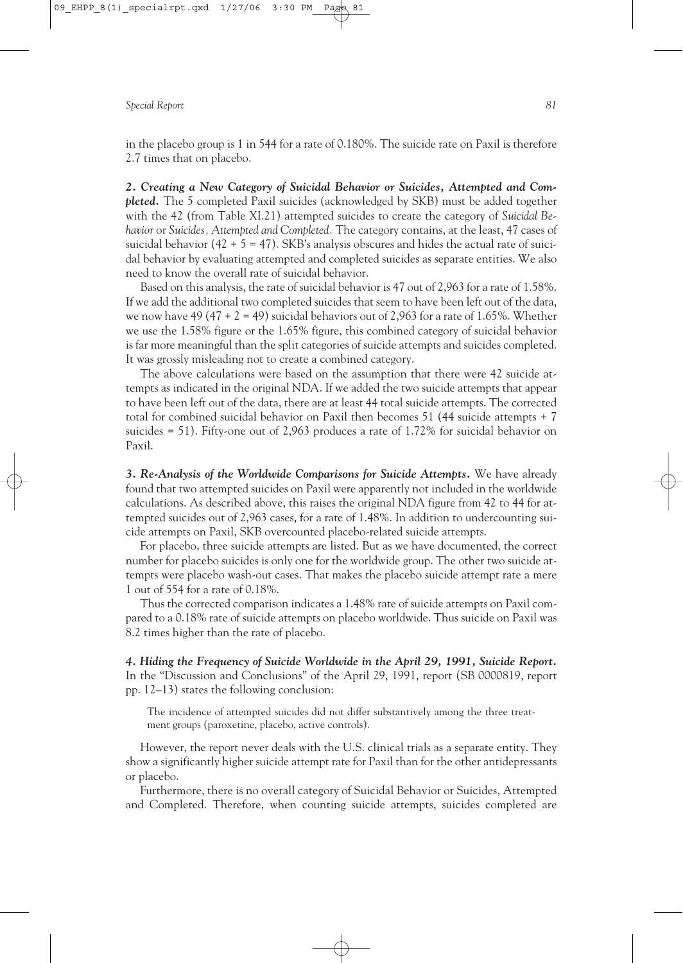in the placebo group is 1 in 544 for a rate of 0.180%. The suicide rate on Paxil is therefore 2.7 times that on placebo.

*2. Creating a New Category of Suicidal Behavior or Suicides, Attempted and Completed.* The 5 completed Paxil suicides (acknowledged by SKB) must be added together with the 42 (from Table XI.21) attempted suicides to create the category of *Suicidal Behavior* or *Suicides, Attempted and Completed.* The category contains, at the least, 47 cases of suicidal behavior (42 + 5 = 47). SKB's analysis obscures and hides the actual rate of suicidal behavior by evaluating attempted and completed suicides as separate entities. We also need to know the overall rate of suicidal behavior.

Based on this analysis, the rate of suicidal behavior is 47 out of 2,963 for a rate of 1.58%. If we add the additional two completed suicides that seem to have been left out of the data, we now have 49 (47 + 2 = 49) suicidal behaviors out of 2,963 for a rate of 1.65%. Whether we use the 1.58% figure or the 1.65% figure, this combined category of suicidal behavior is far more meaningful than the split categories of suicide attempts and suicides completed. It was grossly misleading not to create a combined category.

The above calculations were based on the assumption that there were 42 suicide attempts as indicated in the original NDA. If we added the two suicide attempts that appear to have been left out of the data, there are at least 44 total suicide attempts. The corrected total for combined suicidal behavior on Paxil then becomes 51 (44 suicide attempts + 7 suicides = 51). Fifty-one out of 2,963 produces a rate of 1.72% for suicidal behavior on Paxil.

*3. Re-Analysis of the Worldwide Comparisons for Suicide Attempts.* We have already found that two attempted suicides on Paxil were apparently not included in the worldwide calculations. As described above, this raises the original NDA figure from 42 to 44 for attempted suicides out of 2,963 cases, for a rate of 1.48%. In addition to undercounting suicide attempts on Paxil, SKB overcounted placebo-related suicide attempts.

For placebo, three suicide attempts are listed. But as we have documented, the correct number for placebo suicides is only one for the worldwide group. The other two suicide attempts were placebo wash-out cases. That makes the placebo suicide attempt rate a mere 1 out of 554 for a rate of 0.18%.

Thus the corrected comparison indicates a 1.48% rate of suicide attempts on Paxil compared to a 0.18% rate of suicide attempts on placebo worldwide. Thus suicide on Paxil was 8.2 times higher than the rate of placebo.

*4. Hiding the Frequency of Suicide Worldwide in the April 29, 1991, Suicide Report.* In the "Discussion and Conclusions" of the April 29, 1991, report (SB 0000819, report pp. 12–13) states the following conclusion:

The incidence of attempted suicides did not differ substantively among the three treatment groups (paroxetine, placebo, active controls).

However, the report never deals with the U.S. clinical trials as a separate entity. They show a significantly higher suicide attempt rate for Paxil than for the other antidepressants or placebo.

Furthermore, there is no overall category of Suicidal Behavior or Suicides, Attempted and Completed. Therefore, when counting suicide attempts, suicides completed are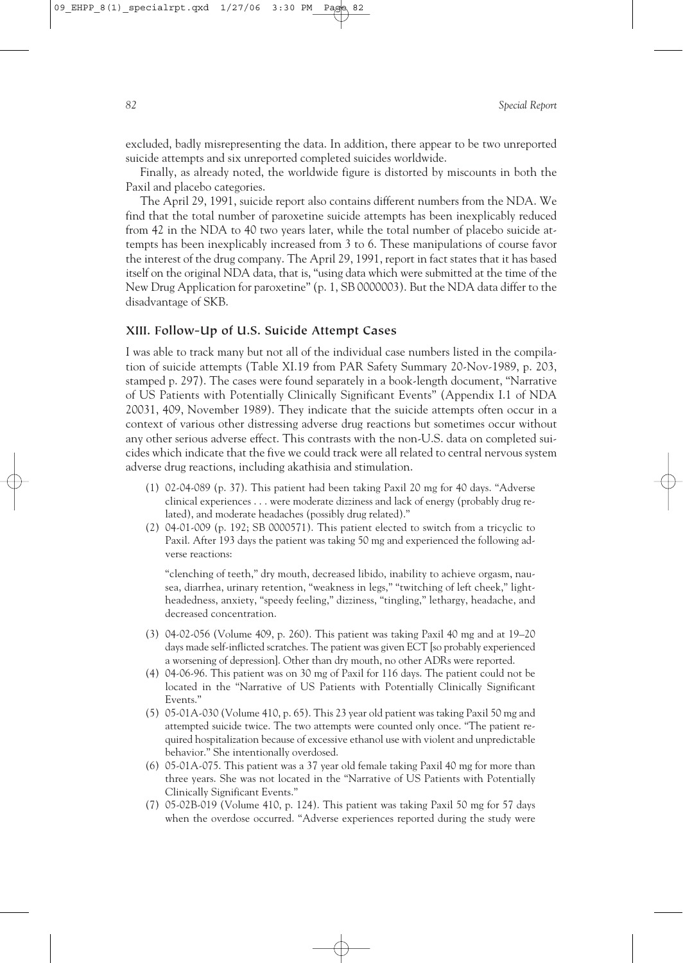excluded, badly misrepresenting the data. In addition, there appear to be two unreported suicide attempts and six unreported completed suicides worldwide.

Finally, as already noted, the worldwide figure is distorted by miscounts in both the Paxil and placebo categories.

The April 29, 1991, suicide report also contains different numbers from the NDA. We find that the total number of paroxetine suicide attempts has been inexplicably reduced from 42 in the NDA to 40 two years later, while the total number of placebo suicide attempts has been inexplicably increased from 3 to 6. These manipulations of course favor the interest of the drug company. The April 29, 1991, report in fact states that it has based itself on the original NDA data, that is, "using data which were submitted at the time of the New Drug Application for paroxetine" (p. 1, SB 0000003). But the NDA data differ to the disadvantage of SKB.

#### **XIII. Follow-Up of U.S. Suicide Attempt Cases**

I was able to track many but not all of the individual case numbers listed in the compilation of suicide attempts (Table XI.19 from PAR Safety Summary 20-Nov-1989, p. 203, stamped p. 297). The cases were found separately in a book-length document, "Narrative of US Patients with Potentially Clinically Significant Events" (Appendix I.1 of NDA 20031, 409, November 1989). They indicate that the suicide attempts often occur in a context of various other distressing adverse drug reactions but sometimes occur without any other serious adverse effect. This contrasts with the non-U.S. data on completed suicides which indicate that the five we could track were all related to central nervous system adverse drug reactions, including akathisia and stimulation.

- (1) 02-04-089 (p. 37). This patient had been taking Paxil 20 mg for 40 days. "Adverse clinical experiences... were moderate dizziness and lack of energy (probably drug related), and moderate headaches (possibly drug related)."
- (2) 04-01-009 (p. 192; SB 0000571). This patient elected to switch from a tricyclic to Paxil. After 193 days the patient was taking 50 mg and experienced the following adverse reactions:

"clenching of teeth," dry mouth, decreased libido, inability to achieve orgasm, nausea, diarrhea, urinary retention, "weakness in legs," "twitching of left cheek," lightheadedness, anxiety, "speedy feeling," dizziness, "tingling," lethargy, headache, and decreased concentration.

- (3) 04-02-056 (Volume 409, p. 260). This patient was taking Paxil 40 mg and at 19–20 days made self-inflicted scratches. The patient was given ECT [so probably experienced a worsening of depression]. Other than dry mouth, no other ADRs were reported.
- (4) 04-06-96. This patient was on 30 mg of Paxil for 116 days. The patient could not be located in the "Narrative of US Patients with Potentially Clinically Significant Events."
- (5) 05-01A-030 (Volume 410, p. 65). This 23 year old patient was taking Paxil 50 mg and attempted suicide twice. The two attempts were counted only once. "The patient required hospitalization because of excessive ethanol use with violent and unpredictable behavior." She intentionally overdosed.
- (6) 05-01A-075. This patient was a 37 year old female taking Paxil 40 mg for more than three years. She was not located in the "Narrative of US Patients with Potentially Clinically Significant Events."
- (7) 05-02B-019 (Volume 410, p. 124). This patient was taking Paxil 50 mg for 57 days when the overdose occurred. "Adverse experiences reported during the study were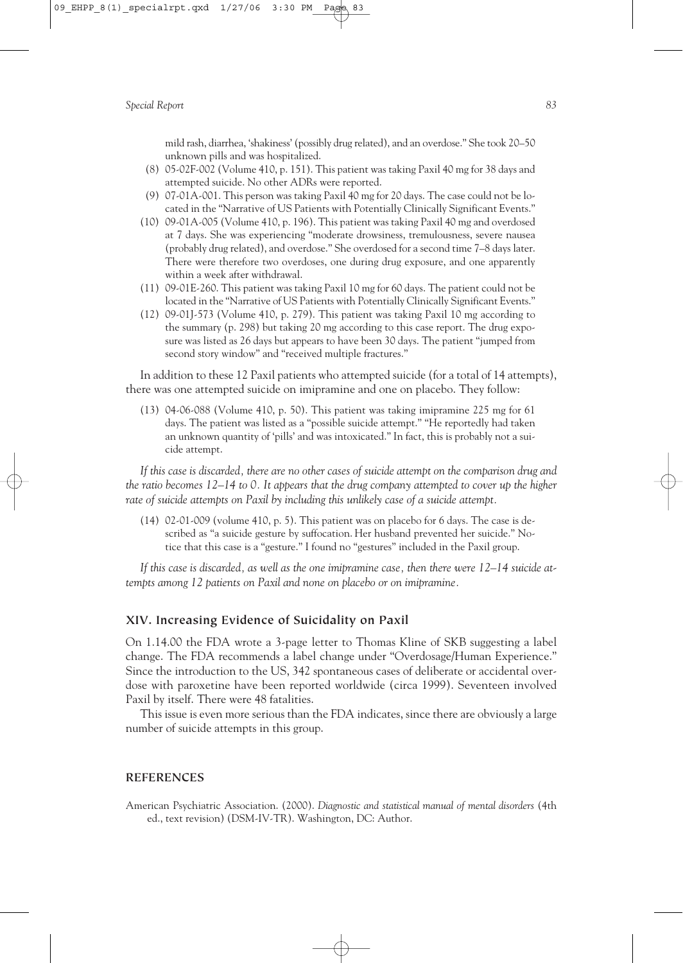mild rash, diarrhea, 'shakiness' (possibly drug related), and an overdose." She took 20–50 unknown pills and was hospitalized.

- (8) 05-02F-002 (Volume 410, p. 151). This patient was taking Paxil 40 mg for 38 days and attempted suicide. No other ADRs were reported.
- (9) 07-01A-001. This person was taking Paxil 40 mg for 20 days. The case could not be located in the "Narrative of US Patients with Potentially Clinically Significant Events."
- (10) 09-01A-005 (Volume 410, p. 196). This patient was taking Paxil 40 mg and overdosed at 7 days. She was experiencing "moderate drowsiness, tremulousness, severe nausea (probably drug related), and overdose." She overdosed for a second time 7–8 days later. There were therefore two overdoses, one during drug exposure, and one apparently within a week after withdrawal.
- (11) 09-01E-260. This patient was taking Paxil 10 mg for 60 days. The patient could not be located in the "Narrative of US Patients with Potentially Clinically Significant Events."
- (12) 09-01J-573 (Volume 410, p. 279). This patient was taking Paxil 10 mg according to the summary (p. 298) but taking 20 mg according to this case report. The drug exposure was listed as 26 days but appears to have been 30 days. The patient "jumped from second story window" and "received multiple fractures."

In addition to these 12 Paxil patients who attempted suicide (for a total of 14 attempts), there was one attempted suicide on imipramine and one on placebo. They follow:

(13) 04-06-088 (Volume 410, p. 50). This patient was taking imipramine 225 mg for 61 days. The patient was listed as a "possible suicide attempt." "He reportedly had taken an unknown quantity of 'pills' and was intoxicated." In fact, this is probably not a suicide attempt.

*If this case is discarded, there are no other cases of suicide attempt on the comparison drug and the ratio becomes 12–14 to 0. It appears that the drug company attempted to cover up the higher rate of suicide attempts on Paxil by including this unlikely case of a suicide attempt.*

(14) 02-01-009 (volume 410, p. 5). This patient was on placebo for 6 days. The case is described as "a suicide gesture by suffocation. Her husband prevented her suicide." Notice that this case is a "gesture." I found no "gestures" included in the Paxil group.

*If this case is discarded, as well as the one imipramine case, then there were 12–14 suicide attempts among 12 patients on Paxil and none on placebo or on imipramine.*

## **XIV. Increasing Evidence of Suicidality on Paxil**

On 1.14.00 the FDA wrote a 3-page letter to Thomas Kline of SKB suggesting a label change. The FDA recommends a label change under "Overdosage/Human Experience." Since the introduction to the US, 342 spontaneous cases of deliberate or accidental overdose with paroxetine have been reported worldwide (circa 1999). Seventeen involved Paxil by itself. There were 48 fatalities.

This issue is even more serious than the FDA indicates, since there are obviously a large number of suicide attempts in this group.

#### **REFERENCES**

American Psychiatric Association. (2000). *Diagnostic and statistical manual of mental disorders* (4th ed., text revision) (DSM-IV-TR). Washington, DC: Author.